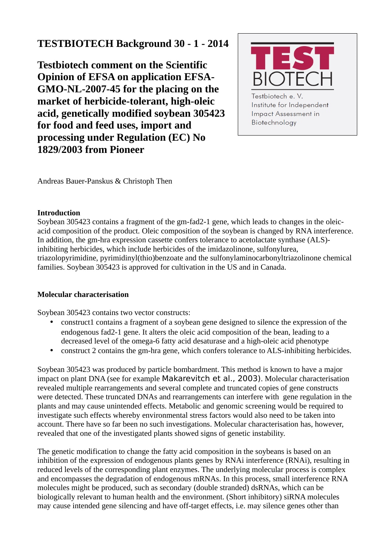# **TESTBIOTECH Background 30 - 1 - 2014**

**Testbiotech comment on the Scientific Opinion of EFSA on application EFSA-GMO-NL-2007-45 for the placing on the market of herbicide-tolerant, high-oleic acid, genetically modified soybean 305423 for food and feed uses, import and processing under Regulation (EC) No 1829/2003 from Pioneer**



**Impact Assessment in** Biotechnology

Andreas Bauer-Panskus & Christoph Then

# **Introduction**

Soybean 305423 contains a fragment of the gm-fad2-1 gene, which leads to changes in the oleicacid composition of the product. Oleic composition of the soybean is changed by RNA interference. In addition, the gm-hra expression cassette confers tolerance to acetolactate synthase (ALS) inhibiting herbicides, which include herbicides of the imidazolinone, sulfonylurea, triazolopyrimidine, pyrimidinyl(thio)benzoate and the sulfonylaminocarbonyltriazolinone chemical families. Soybean 305423 is approved for cultivation in the US and in Canada.

# **Molecular characterisation**

Soybean 305423 contains two vector constructs:

- construct1 contains a fragment of a soybean gene designed to silence the expression of the endogenous fad2-1 gene. It alters the oleic acid composition of the bean, leading to a decreased level of the omega-6 fatty acid desaturase and a high-oleic acid phenotype
- construct 2 contains the gm-hra gene, which confers tolerance to ALS-inhibiting herbicides.

Soybean 305423 was produced by particle bombardment. This method is known to have a major impact on plant DNA (see for example Makarevitch et al., 2003). Molecular characterisation revealed multiple rearrangements and several complete and truncated copies of gene constructs were detected. These truncated DNAs and rearrangements can interfere with gene regulation in the plants and may cause unintended effects. Metabolic and genomic screening would be required to investigate such effects whereby environmental stress factors would also need to be taken into account. There have so far been no such investigations. Molecular characterisation has, however, revealed that one of the investigated plants showed signs of genetic instability.

The genetic modification to change the fatty acid composition in the soybeans is based on an inhibition of the expression of endogenous plants genes by RNAi interference (RNAi), resulting in reduced levels of the corresponding plant enzymes. The underlying molecular process is complex and encompasses the degradation of endogenous mRNAs. In this process, small interference RNA molecules might be produced, such as secondary (double stranded) dsRNAs, which can be biologically relevant to human health and the environment. (Short inhibitory) siRNA molecules may cause intended gene silencing and have off-target effects, i.e. may silence genes other than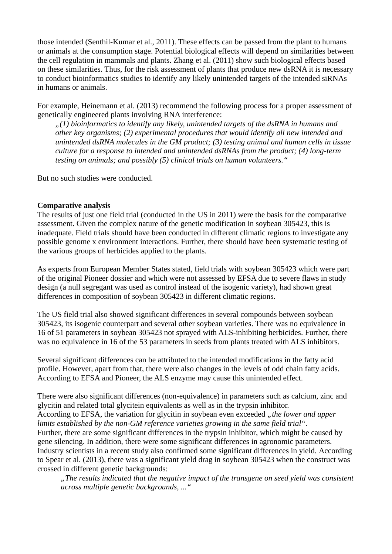those intended (Senthil-Kumar et al., 2011). These effects can be passed from the plant to humans or animals at the consumption stage. Potential biological effects will depend on similarities between the cell regulation in mammals and plants. Zhang et al. (2011) show such biological effects based on these similarities. Thus, for the risk assessment of plants that produce new dsRNA it is necessary to conduct bioinformatics studies to identify any likely unintended targets of the intended siRNAs in humans or animals.

For example, Heinemann et al. (2013) recommend the following process for a proper assessment of genetically engineered plants involving RNA interference:

*"(1) bioinformatics to identify any likely, unintended targets of the dsRNA in humans and other key organisms; (2) experimental procedures that would identify all new intended and unintended dsRNA molecules in the GM product; (3) testing animal and human cells in tissue culture for a response to intended and unintended dsRNAs from the product; (4) long-term testing on animals; and possibly (5) clinical trials on human volunteers."*

But no such studies were conducted.

## **Comparative analysis**

The results of just one field trial (conducted in the US in 2011) were the basis for the comparative assessment. Given the complex nature of the genetic modification in soybean 305423, this is inadequate. Field trials should have been conducted in different climatic regions to investigate any possible genome x environment interactions. Further, there should have been systematic testing of the various groups of herbicides applied to the plants.

As experts from European Member States stated, field trials with soybean 305423 which were part of the original Pioneer dossier and which were not assessed by EFSA due to severe flaws in study design (a null segregant was used as control instead of the isogenic variety), had shown great differences in composition of soybean 305423 in different climatic regions.

The US field trial also showed significant differences in several compounds between soybean 305423, its isogenic counterpart and several other soybean varieties. There was no equivalence in 16 of 51 parameters in soybean 305423 not sprayed with ALS-inhibiting herbicides. Further, there was no equivalence in 16 of the 53 parameters in seeds from plants treated with ALS inhibitors.

Several significant differences can be attributed to the intended modifications in the fatty acid profile. However, apart from that, there were also changes in the levels of odd chain fatty acids. According to EFSA and Pioneer, the ALS enzyme may cause this unintended effect.

There were also significant differences (non-equivalence) in parameters such as calcium, zinc and glycitin and related total glycitein equivalents as well as in the trypsin inhibitor. According to EFSA, the variation for glycitin in soybean even exceeded "the lower and upper *limits established by the non-GM reference varieties growing in the same field trial".* Further, there are some significant differences in the trypsin inhibitor, which might be caused by gene silencing. In addition, there were some significant differences in agronomic parameters. Industry scientists in a recent study also confirmed some significant differences in yield. According to Spear et al. (2013), there was a significant yield drag in soybean 305423 when the construct was crossed in different genetic backgrounds:

*"The results indicated that the negative impact of the transgene on seed yield was consistent across multiple genetic backgrounds, ..."*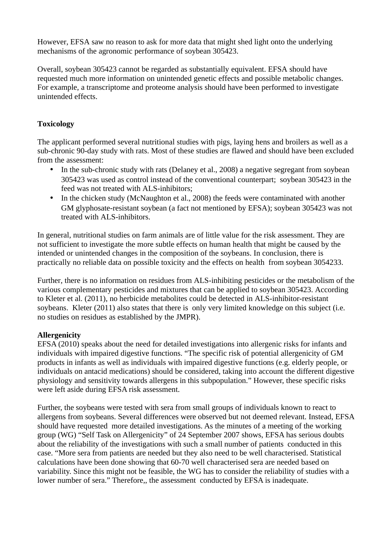However, EFSA saw no reason to ask for more data that might shed light onto the underlying mechanisms of the agronomic performance of soybean 305423.

Overall, soybean 305423 cannot be regarded as substantially equivalent. EFSA should have requested much more information on unintended genetic effects and possible metabolic changes. For example, a transcriptome and proteome analysis should have been performed to investigate unintended effects.

# **Toxicology**

The applicant performed several nutritional studies with pigs, laying hens and broilers as well as a sub-chronic 90-day study with rats. Most of these studies are flawed and should have been excluded from the assessment:

- In the sub-chronic study with rats (Delaney et al., 2008) a negative segregant from soybean 305423 was used as control instead of the conventional counterpart; soybean 305423 in the feed was not treated with ALS-inhibitors;
- In the chicken study (McNaughton et al., 2008) the feeds were contaminated with another GM glyphosate-resistant soybean (a fact not mentioned by EFSA); soybean 305423 was not treated with ALS-inhibitors.

In general, nutritional studies on farm animals are of little value for the risk assessment. They are not sufficient to investigate the more subtle effects on human health that might be caused by the intended or unintended changes in the composition of the soybeans. In conclusion, there is practically no reliable data on possible toxicity and the effects on health from soybean 3054233.

Further, there is no information on residues from ALS-inhibiting pesticides or the metabolism of the various complementary pesticides and mixtures that can be applied to soybean 305423. According to Kleter et al. (2011), no herbicide metabolites could be detected in ALS-inhibitor-resistant soybeans. Kleter (2011) also states that there is only very limited knowledge on this subject (i.e. no studies on residues as established by the JMPR).

# **Allergenicity**

EFSA (2010) speaks about the need for detailed investigations into allergenic risks for infants and individuals with impaired digestive functions. "The specific risk of potential allergenicity of GM products in infants as well as individuals with impaired digestive functions (e.g. elderly people, or individuals on antacid medications) should be considered, taking into account the different digestive physiology and sensitivity towards allergens in this subpopulation." However, these specific risks were left aside during EFSA risk assessment.

Further, the soybeans were tested with sera from small groups of individuals known to react to allergens from soybeans. Several differences were observed but not deemed relevant. Instead, EFSA should have requested more detailed investigations. As the minutes of a meeting of the working group (WG) "Self Task on Allergenicity" of 24 September 2007 shows, EFSA has serious doubts about the reliability of the investigations with such a small number of patients conducted in this case. "More sera from patients are needed but they also need to be well characterised. Statistical calculations have been done showing that 60-70 well characterised sera are needed based on variability. Since this might not be feasible, the WG has to consider the reliability of studies with a lower number of sera." Therefore,, the assessment conducted by EFSA is inadequate.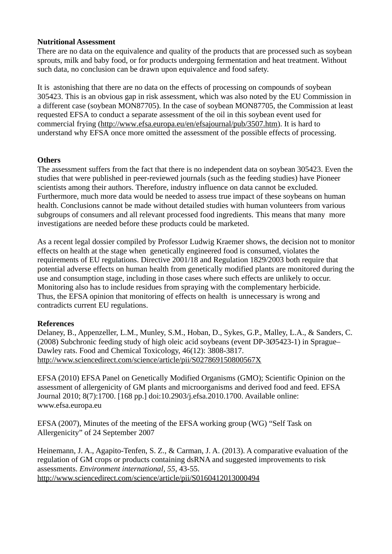#### **Nutritional Assessment**

There are no data on the equivalence and quality of the products that are processed such as soybean sprouts, milk and baby food, or for products undergoing fermentation and heat treatment. Without such data, no conclusion can be drawn upon equivalence and food safety.

It is astonishing that there are no data on the effects of processing on compounds of soybean 305423. This is an obvious gap in risk assessment, which was also noted by the EU Commission in a different case (soybean MON87705). In the case of soybean MON87705, the Commission at least requested EFSA to conduct a separate assessment of the oil in this soybean event used for commercial frying [\(http://www.efsa.europa.eu/en/efsajournal/pub/3507.htm\)](http://www.efsa.europa.eu/en/efsajournal/pub/3507.htm). It is hard to understand why EFSA once more omitted the assessment of the possible effects of processing.

## **Others**

The assessment suffers from the fact that there is no independent data on soybean 305423. Even the studies that were published in peer-reviewed journals (such as the feeding studies) have Pioneer scientists among their authors. Therefore, industry influence on data cannot be excluded. Furthermore, much more data would be needed to assess true impact of these soybeans on human health. Conclusions cannot be made without detailed studies with human volunteers from various subgroups of consumers and all relevant processed food ingredients. This means that many more investigations are needed before these products could be marketed.

As a recent legal dossier compiled by Professor Ludwig Kraemer shows, the decision not to monitor effects on health at the stage when genetically engineered food is consumed, violates the requirements of EU regulations. Directive 2001/18 and Regulation 1829/2003 both require that potential adverse effects on human health from genetically modified plants are monitored during the use and consumption stage, including in those cases where such effects are unlikely to occur. Monitoring also has to include residues from spraying with the complementary herbicide. Thus, the EFSA opinion that monitoring of effects on health is unnecessary is wrong and contradicts current EU regulations.

# **References**

Delaney, B., Appenzeller, L.M., Munley, S.M., Hoban, D., Sykes, G.P., Malley, L.A., & Sanders, C. (2008) Subchronic feeding study of high oleic acid soybeans (event DP-3Ø5423-1) in Sprague– Dawley rats. Food and Chemical Toxicology, 46(12): 3808-3817. <http://www.sciencedirect.com/science/article/pii/S027869150800567X>

EFSA (2010) EFSA Panel on Genetically Modified Organisms (GMO); Scientific Opinion on the assessment of allergenicity of GM plants and microorganisms and derived food and feed. EFSA Journal 2010; 8(7):1700. [168 pp.] doi:10.2903/j.efsa.2010.1700. Available online: www.efsa.europa.eu

EFSA (2007), Minutes of the meeting of the EFSA working group (WG) "Self Task on Allergenicity" of 24 September 2007

Heinemann, J. A., Agapito-Tenfen, S. Z., & Carman, J. A. (2013). A comparative evaluation of the regulation of GM crops or products containing dsRNA and suggested improvements to risk assessments. *Environment international*, *55*, 43-55. <http://www.sciencedirect.com/science/article/pii/S0160412013000494>